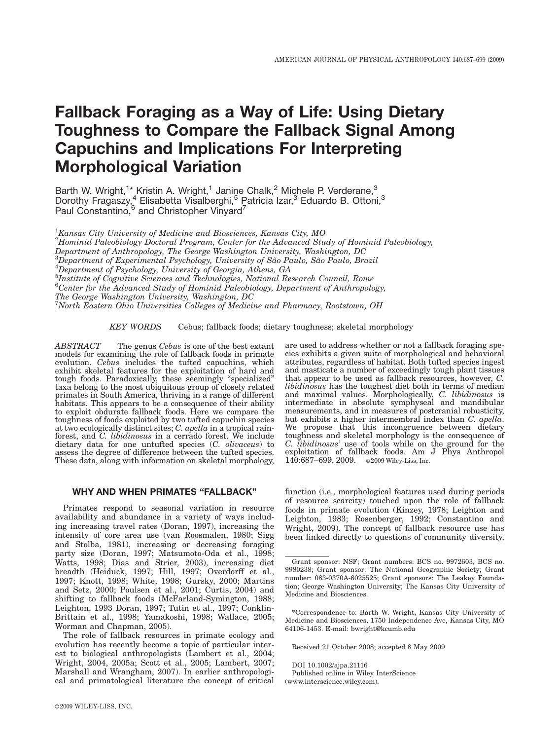# Fallback Foraging as a Way of Life: Using Dietary Toughness to Compare the Fallback Signal Among Capuchins and Implications For Interpreting Morphological Variation

Barth W. Wright,<sup>1\*</sup> Kristin A. Wright,<sup>1</sup> Janine Chalk,<sup>2</sup> Michele P. Verderane,<sup>3</sup> Dorothy Fragaszy,<sup>4</sup> Elisabetta Visalberghi,<sup>5</sup> Patricia Izar,<sup>3</sup> Eduardo B. Ottoni,<sup>3</sup> Paul Constantino,<sup>6</sup> and Christopher Vinyard<sup>7</sup>

<sup>1</sup>Kansas City University of Medicine and Biosciences, Kansas City, MO  $^{2}$ Hominid Paleobiology Doctoral Program, Center for the Advanced Study of Hominid Paleobiology, Department of Anthropology, The George Washington University, Washington, DC<br><sup>3</sup>Department of Experimental Psychology, University of São Paulo, São Paulo, Brazil<br><sup>4</sup>Department of Psychology, University of Georgia, Athene, Department of Psychology, University of Georgia, Athens, GA <sup>5</sup>Institute of Cognitive Sciences and Technologies, National Research Council, Rome <sup>6</sup>Center for the Advanced Study of Hominid Paleobiology, Department of Anthropology, The George Washington University, Washington, DC <sup>7</sup>North Eastern Ohio Universities Colleges of Medicine and Pharmacy, Rootstown, OH

KEY WORDS Cebus; fallback foods; dietary toughness; skeletal morphology

ABSTRACT The genus Cebus is one of the best extant models for examining the role of fallback foods in primate evolution. Cebus includes the tufted capuchins, which exhibit skeletal features for the exploitation of hard and tough foods. Paradoxically, these seemingly ''specialized'' taxa belong to the most ubiquitous group of closely related primates in South America, thriving in a range of different habitats. This appears to be a consequence of their ability to exploit obdurate fallback foods. Here we compare the toughness of foods exploited by two tufted capuchin species at two ecologically distinct sites; C. apella in a tropical rainforest, and C. libidinosus in a cerrado forest. We include dietary data for one untufted species (C. olivaceus) to assess the degree of difference between the tufted species. These data, along with information on skeletal morphology,

### WHY AND WHEN PRIMATES "FALLBACK"

Primates respond to seasonal variation in resource availability and abundance in a variety of ways including increasing travel rates (Doran, 1997), increasing the intensity of core area use (van Roosmalen, 1980; Sigg and Stolba, 1981), increasing or decreasing foraging party size (Doran, 1997; Matsumoto-Oda et al., 1998; Watts, 1998; Dias and Strier, 2003), increasing diet breadth (Heiduck, 1997; Hill, 1997; Overdorff et al., 1997; Knott, 1998; White, 1998; Gursky, 2000; Martins and Setz, 2000; Poulsen et al., 2001; Curtis, 2004) and shifting to fallback foods (McFarland-Symington, 1988; Leighton, 1993 Doran, 1997; Tutin et al., 1997; Conklin-Brittain et al., 1998; Yamakoshi, 1998; Wallace, 2005; Worman and Chapman, 2005).

The role of fallback resources in primate ecology and evolution has recently become a topic of particular interest to biological anthropologists (Lambert et al., 2004; Wright, 2004, 2005a; Scott et al., 2005; Lambert, 2007; Marshall and Wrangham, 2007). In earlier anthropological and primatological literature the concept of critical

are used to address whether or not a fallback foraging species exhibits a given suite of morphological and behavioral attributes, regardless of habitat. Both tufted species ingest and masticate a number of exceedingly tough plant tissues that appear to be used as fallback resources, however, C. libidinosus has the toughest diet both in terms of median and maximal values. Morphologically, C. libidinosus is intermediate in absolute symphyseal and mandibular measurements, and in measures of postcranial robusticity, but exhibits a higher intermembral index than C. apella.<br>We propose that this incongruence between dietary toughness and skeletal morphology is the consequence of C. libidinosus' use of tools while on the ground for the exploitation of fallback foods. Am J Phys Anthropol 140:687–699, 2009. © 2009 Wiley-Liss, Inc.

function (i.e., morphological features used during periods of resource scarcity) touched upon the role of fallback foods in primate evolution (Kinzey, 1978; Leighton and Leighton, 1983; Rosenberger, 1992; Constantino and Wright, 2009). The concept of fallback resource use has been linked directly to questions of community diversity,

\*Correspondence to: Barth W. Wright, Kansas City University of Medicine and Biosciences, 1750 Independence Ave, Kansas City, MO 64106-1453. E-mail: bwright@kcumb.edu

Received 21 October 2008; accepted 8 May 2009

DOI 10.1002/ajpa.21116 Published online in Wiley InterScience (www.interscience.wiley.com).

Grant sponsor: NSF; Grant numbers: BCS no. 9972603, BCS no. 9980238; Grant sponsor: The National Geographic Society; Grant number: 083-0370A-6025525; Grant sponsors: The Leakey Foundation; George Washington University; The Kansas City University of Medicine and Biosciences.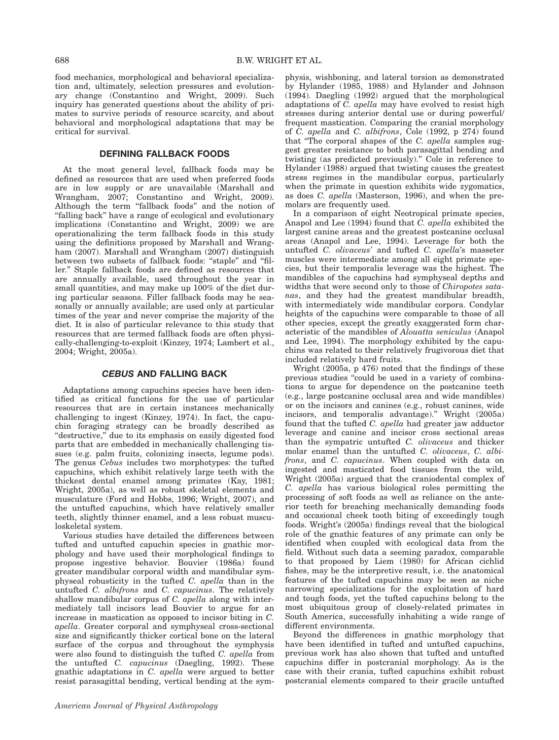food mechanics, morphological and behavioral specialization and, ultimately, selection pressures and evolutionary change (Constantino and Wright, 2009). Such inquiry has generated questions about the ability of primates to survive periods of resource scarcity, and about behavioral and morphological adaptations that may be critical for survival.

# DEFINING FALLBACK FOODS

At the most general level, fallback foods may be defined as resources that are used when preferred foods are in low supply or are unavailable (Marshall and Wrangham, 2007; Constantino and Wright, 2009). Although the term ''fallback foods'' and the notion of ''falling back'' have a range of ecological and evolutionary implications (Constantino and Wright, 2009) we are operationalizing the term fallback foods in this study using the definitions proposed by Marshall and Wrangham (2007). Marshall and Wrangham (2007) distinguish between two subsets of fallback foods: ''staple'' and ''filler.'' Staple fallback foods are defined as resources that are annually available, used throughout the year in small quantities, and may make up 100% of the diet during particular seasons. Filler fallback foods may be seasonally or annually available; are used only at particular times of the year and never comprise the majority of the diet. It is also of particular relevance to this study that resources that are termed fallback foods are often physically-challenging-to-exploit (Kinzey, 1974; Lambert et al., 2004; Wright, 2005a).

# CEBUS AND FALLING BACK

Adaptations among capuchins species have been identified as critical functions for the use of particular resources that are in certain instances mechanically challenging to ingest (Kinzey, 1974). In fact, the capuchin foraging strategy can be broadly described as ''destructive,'' due to its emphasis on easily digested food parts that are embedded in mechanically challenging tissues (e.g. palm fruits, colonizing insects, legume pods). The genus Cebus includes two morphotypes: the tufted capuchins, which exhibit relatively large teeth with the thickest dental enamel among primates (Kay, 1981; Wright, 2005a), as well as robust skeletal elements and musculature (Ford and Hobbs, 1996; Wright, 2007), and the untufted capuchins, which have relatively smaller teeth, slightly thinner enamel, and a less robust musculoskeletal system.

Various studies have detailed the differences between tufted and untufted capuchin species in gnathic morphology and have used their morphological findings to propose ingestive behavior. Bouvier (1986a) found greater mandibular corporal width and mandibular symphyseal robusticity in the tufted C. apella than in the untufted C. albifrons and C. capucinus. The relatively shallow mandibular corpus of C. apella along with intermediately tall incisors lead Bouvier to argue for an increase in mastication as opposed to incisor biting in C. apella. Greater corporal and symphyseal cross-sectional size and significantly thicker cortical bone on the lateral surface of the corpus and throughout the symphysis were also found to distinguish the tufted C. apella from the untufted C. capucinus (Daegling, 1992). These gnathic adaptations in C. apella were argued to better resist parasagittal bending, vertical bending at the sym-

physis, wishboning, and lateral torsion as demonstrated by Hylander (1985, 1988) and Hylander and Johnson (1994). Daegling (1992) argued that the morphological adaptations of C. apella may have evolved to resist high stresses during anterior dental use or during powerful/ frequent mastication. Comparing the cranial morphology of C. apella and C. albifrons, Cole (1992, p 274) found that "The corporal shapes of the C. apella samples suggest greater resistance to both parasagittal bending and twisting (as predicted previously).'' Cole in reference to Hylander (1988) argued that twisting causes the greatest stress regimes in the mandibular corpus, particularly when the primate in question exhibits wide zygomatics, as does C. apella (Masterson, 1996), and when the premolars are frequently used.

In a comparison of eight Neotropical primate species, Anapol and Lee (1994) found that C. apella exhibited the largest canine areas and the greatest postcanine occlusal areas (Anapol and Lee, 1994). Leverage for both the untufted C. olivaceus' and tufted C. apella's masseter muscles were intermediate among all eight primate species, but their temporalis leverage was the highest. The mandibles of the capuchins had symphyseal depths and widths that were second only to those of *Chiropotes sata*nas, and they had the greatest mandibular breadth, with intermediately wide mandibular corpora. Condylar heights of the capuchins were comparable to those of all other species, except the greatly exaggerated form characteristic of the mandibles of Alouatta seniculus (Anapol and Lee, 1994). The morphology exhibited by the capuchins was related to their relatively frugivorous diet that included relatively hard fruits.

Wright (2005a, p 476) noted that the findings of these previous studies ''could be used in a variety of combinations to argue for dependence on the postcanine teeth (e.g., large postcanine occlusal area and wide mandibles) or on the incisors and canines (e.g., robust canines, wide incisors, and temporalis advantage).'' Wright (2005a) found that the tufted C. apella had greater jaw adductor leverage and canine and incisor cross sectional areas than the sympatric untufted C. olivaceus and thicker molar enamel than the untufted C. olivaceus, C. albifrons, and C. capucinus. When coupled with data on ingested and masticated food tissues from the wild, Wright (2005a) argued that the craniodental complex of C. apella has various biological roles permitting the processing of soft foods as well as reliance on the anterior teeth for breaching mechanically demanding foods and occasional cheek tooth biting of exceedingly tough foods. Wright's (2005a) findings reveal that the biological role of the gnathic features of any primate can only be identified when coupled with ecological data from the field. Without such data a seeming paradox, comparable to that proposed by Liem (1980) for African cichlid fishes, may be the interpretive result, i.e. the anatomical features of the tufted capuchins may be seen as niche narrowing specializations for the exploitation of hard and tough foods, yet the tufted capuchins belong to the most ubiquitous group of closely-related primates in South America, successfully inhabiting a wide range of different environments.

Beyond the differences in gnathic morphology that have been identified in tufted and untufted capuchins, previous work has also shown that tufted and untufted capuchins differ in postcranial morphology. As is the case with their crania, tufted capuchins exhibit robust postcranial elements compared to their gracile untufted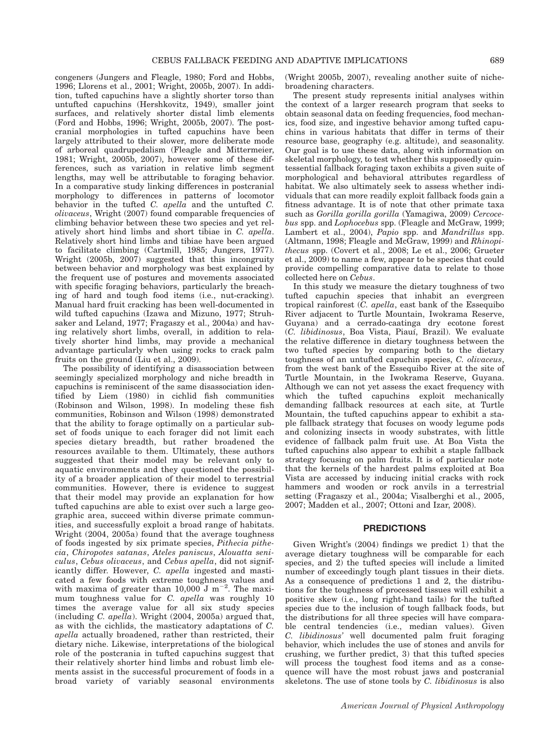congeners (Jungers and Fleagle, 1980; Ford and Hobbs, 1996; Llorens et al., 2001; Wright, 2005b, 2007). In addition, tufted capuchins have a slightly shorter torso than untufted capuchins (Hershkovitz, 1949), smaller joint surfaces, and relatively shorter distal limb elements (Ford and Hobbs, 1996; Wright, 2005b, 2007). The postcranial morphologies in tufted capuchins have been largely attributed to their slower, more deliberate mode of arboreal quadrupedalism (Fleagle and Mittermeier, 1981; Wright, 2005b, 2007), however some of these differences, such as variation in relative limb segment lengths, may well be attributable to foraging behavior. In a comparative study linking differences in postcranial morphology to differences in patterns of locomotor behavior in the tufted C. apella and the untufted C. olivaceus, Wright (2007) found comparable frequencies of climbing behavior between these two species and yet relatively short hind limbs and short tibiae in C. apella. Relatively short hind limbs and tibiae have been argued to facilitate climbing (Cartmill, 1985; Jungers, 1977). Wright (2005b, 2007) suggested that this incongruity between behavior and morphology was best explained by the frequent use of postures and movements associated with specific foraging behaviors, particularly the breaching of hard and tough food items (i.e., nut-cracking). Manual hard fruit cracking has been well-documented in wild tufted capuchins (Izawa and Mizuno, 1977; Struhsaker and Leland, 1977; Fragaszy et al., 2004a) and having relatively short limbs, overall, in addition to relatively shorter hind limbs, may provide a mechanical advantage particularly when using rocks to crack palm fruits on the ground (Liu et al., 2009).

The possibility of identifying a disassociation between seemingly specialized morphology and niche breadth in capuchins is reminiscent of the same disassociation identified by Liem (1980) in cichlid fish communities (Robinson and Wilson, 1998). In modeling these fish communities, Robinson and Wilson (1998) demonstrated that the ability to forage optimally on a particular subset of foods unique to each forager did not limit each species dietary breadth, but rather broadened the resources available to them. Ultimately, these authors suggested that their model may be relevant only to aquatic environments and they questioned the possibility of a broader application of their model to terrestrial communities. However, there is evidence to suggest that their model may provide an explanation for how tufted capuchins are able to exist over such a large geographic area, succeed within diverse primate communities, and successfully exploit a broad range of habitats. Wright (2004, 2005a) found that the average toughness of foods ingested by six primate species, Pithecia pithecia, Chiropotes satanas, Ateles paniscus, Alouatta seniculus, Cebus olivaceus, and Cebus apella, did not significantly differ. However, C. apella ingested and masticated a few foods with extreme toughness values and with maxima of greater than  $10,000$  J m<sup>-2</sup>. The maximum toughness value for C. apella was roughly 10 times the average value for all six study species (including C.  $apel\bar{l}a$ ). Wright (2004, 2005a) argued that, as with the cichlids, the masticatory adaptations of C. apella actually broadened, rather than restricted, their dietary niche. Likewise, interpretations of the biological role of the postcrania in tufted capuchins suggest that their relatively shorter hind limbs and robust limb elements assist in the successful procurement of foods in a broad variety of variably seasonal environments

(Wright 2005b, 2007), revealing another suite of nichebroadening characters.

The present study represents initial analyses within the context of a larger research program that seeks to obtain seasonal data on feeding frequencies, food mechanics, food size, and ingestive behavior among tufted capuchins in various habitats that differ in terms of their resource base, geography (e.g. altitude), and seasonality. Our goal is to use these data, along with information on skeletal morphology, to test whether this supposedly quintessential fallback foraging taxon exhibits a given suite of morphological and behavioral attributes regardless of habitat. We also ultimately seek to assess whether individuals that can more readily exploit fallback foods gain a fitness advantage. It is of note that other primate taxa such as Gorilla gorilla gorilla (Yamagiwa, 2009) Cercocebus spp. and Lophocebus spp. (Fleagle and McGraw, 1999; Lambert et al., 2004), Papio spp. and Mandrillus spp. (Altmann, 1998; Fleagle and McGraw, 1999) and Rhinopithecus spp. (Covert et al., 2008; Le et al., 2006; Grueter et al., 2009) to name a few, appear to be species that could provide compelling comparative data to relate to those collected here on Cebus.

In this study we measure the dietary toughness of two tufted capuchin species that inhabit an evergreen tropical rainforest (C. apella, east bank of the Essequibo River adjacent to Turtle Mountain, Iwokrama Reserve, Guyana) and a cerrado-caatinga dry ecotone forest (C. libidinosus, Boa Vista, Piauı´, Brazil). We evaluate the relative difference in dietary toughness between the two tufted species by comparing both to the dietary toughness of an untufted capuchin species, C. olivaceus, from the west bank of the Essequibo River at the site of Turtle Mountain, in the Iwokrama Reserve, Guyana. Although we can not yet assess the exact frequency with which the tufted capuchins exploit mechanically demanding fallback resources at each site, at Turtle Mountain, the tufted capuchins appear to exhibit a staple fallback strategy that focuses on woody legume pods and colonizing insects in woody substrates, with little evidence of fallback palm fruit use. At Boa Vista the tufted capuchins also appear to exhibit a staple fallback strategy focusing on palm fruits. It is of particular note that the kernels of the hardest palms exploited at Boa Vista are accessed by inducing initial cracks with rock hammers and wooden or rock anvils in a terrestrial setting (Fragaszy et al., 2004a; Visalberghi et al., 2005, 2007; Madden et al., 2007; Ottoni and Izar, 2008).

# **PREDICTIONS**

Given Wright's (2004) findings we predict 1) that the average dietary toughness will be comparable for each species, and 2) the tufted species will include a limited number of exceedingly tough plant tissues in their diets. As a consequence of predictions 1 and 2, the distributions for the toughness of processed tissues will exhibit a positive skew (i.e., long right-hand tails) for the tufted species due to the inclusion of tough fallback foods, but the distributions for all three species will have comparable central tendencies (i.e., median values). Given C. libidinosus' well documented palm fruit foraging behavior, which includes the use of stones and anvils for crushing, we further predict, 3) that this tufted species will process the toughest food items and as a consequence will have the most robust jaws and postcranial skeletons. The use of stone tools by C. *libidinosus* is also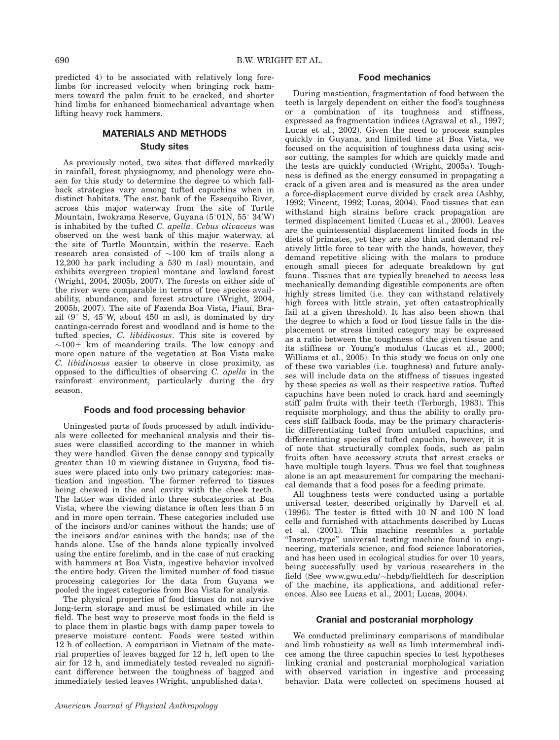predicted 4) to be associated with relatively long forelimbs for increased velocity when bringing rock hammers toward the palm fruit to be cracked, and shorter hind limbs for enhanced biomechanical advantage when lifting heavy rock hammers.

# MATERIALS AND METHODS Study sites

As previously noted, two sites that differed markedly in rainfall, forest physiognomy, and phenology were chosen for this study to determine the degree to which fallback strategies vary among tufted capuchins when in distinct habitats. The east bank of the Essequibo River, across this major waterway from the site of Turtle Mountain, Iwokrama Reserve, Guyana (5°01N, 55° 34′W) is inhabited by the tufted C. apella. Cebus olivaceus was observed on the west bank of this major waterway, at the site of Turtle Mountain, within the reserve. Each research area consisted of  $\sim 100$  km of trails along a 12,200 ha park including a 530 m (asl) mountain, and exhibits evergreen tropical montane and lowland forest (Wright, 2004, 2005b, 2007). The forests on either side of the river were comparable in terms of tree species availability, abundance, and forest structure (Wright, 2004, 2005b, 2007). The site of Fazenda Boa Vista, Piauı´, Brazil  $(9^{\circ}$  S,  $45^{\circ}$ W, about 450 m asl), is dominated by dry caatinga-cerrado forest and woodland and is home to the tufted species, C. libidinosus. This site is covered by  $\sim$ 100+ km of meandering trails. The low canopy and more open nature of the vegetation at Boa Vista make C. libidinosus easier to observe in close proximity, as opposed to the difficulties of observing C. apella in the rainforest environment, particularly during the dry season.

## Foods and food processing behavior

Uningested parts of foods processed by adult individuals were collected for mechanical analysis and their tissues were classified according to the manner in which they were handled. Given the dense canopy and typically greater than 10 m viewing distance in Guyana, food tissues were placed into only two primary categories: mastication and ingestion. The former referred to tissues being chewed in the oral cavity with the cheek teeth. The latter was divided into three subcategories at Boa Vista, where the viewing distance is often less than 5 m and in more open terrain. These categories included use of the incisors and/or canines without the hands; use of the incisors and/or canines with the hands; use of the hands alone. Use of the hands alone typically involved using the entire forelimb, and in the case of nut cracking with hammers at Boa Vista, ingestive behavior involved the entire body. Given the limited number of food tissue processing categories for the data from Guyana we pooled the ingest categories from Boa Vista for analysis.

The physical properties of food tissues do not survive long-term storage and must be estimated while in the field. The best way to preserve most foods in the field is to place them in plastic bags with damp paper towels to preserve moisture content. Foods were tested within 12 h of collection. A comparison in Vietnam of the material properties of leaves bagged for 12 h, left open to the air for 12 h, and immediately tested revealed no significant difference between the toughness of bagged and immediately tested leaves (Wright, unpublished data).

During mastication, fragmentation of food between the teeth is largely dependent on either the food's toughness or a combination of its toughness and stiffness, expressed as fragmentation indices (Agrawal et al., 1997; Lucas et al., 2002). Given the need to process samples quickly in Guyana, and limited time at Boa Vista, we focused on the acquisition of toughness data using scissor cutting, the samples for which are quickly made and the tests are quickly conducted (Wright, 2005a). Toughness is defined as the energy consumed in propagating a crack of a given area and is measured as the area under a force-displacement curve divided by crack area (Ashby, 1992; Vincent, 1992; Lucas, 2004). Food tissues that can withstand high strains before crack propagation are termed displacement limited (Lucas et al., 2000). Leaves are the quintessential displacement limited foods in the diets of primates, yet they are also thin and demand relatively little force to tear with the hands, however, they demand repetitive slicing with the molars to produce enough small pieces for adequate breakdown by gut fauna. Tissues that are typically breached to access less mechanically demanding digestible components are often highly stress limited (i.e. they can withstand relatively high forces with little strain, yet often catastrophically fail at a given threshold). It has also been shown that the degree to which a food or food tissue falls in the displacement or stress limited category may be expressed as a ratio between the toughness of the given tissue and its stiffness or Young's modulus (Lucas et al., 2000; Williams et al., 2005). In this study we focus on only one of these two variables (i.e. toughness) and future analyses will include data on the stiffness of tissues ingested by these species as well as their respective ratios. Tufted capuchins have been noted to crack hard and seemingly stiff palm fruits with their teeth (Terborgh, 1983). This requisite morphology, and thus the ability to orally process stiff fallback foods, may be the primary characteristic differentiating tufted from untufted capuchins, and differentiating species of tufted capuchin, however, it is of note that structurally complex foods, such as palm fruits often have accessory struts that arrest cracks or have multiple tough layers. Thus we feel that toughness alone is an apt measurement for comparing the mechanical demands that a food poses for a feeding primate.

All toughness tests were conducted using a portable universal tester, described originally by Darvell et al. (1996). The tester is fitted with 10 N and 100 N load cells and furnished with attachments described by Lucas et al. (2001). This machine resembles a portable ''Instron-type'' universal testing machine found in engineering, materials science, and food science laboratories, and has been used in ecological studies for over 10 years, being successfully used by various researchers in the field (See www.gwu.edu/ $\sim$ hebdp/fieldtech for description of the machine, its applications, and additional references. Also see Lucas et al., 2001; Lucas, 2004).

# Cranial and postcranial morphology

We conducted preliminary comparisons of mandibular and limb robusticity as well as limb intermembral indices among the three capuchin species to test hypotheses linking cranial and postcranial morphological variation with observed variation in ingestive and processing behavior. Data were collected on specimens housed at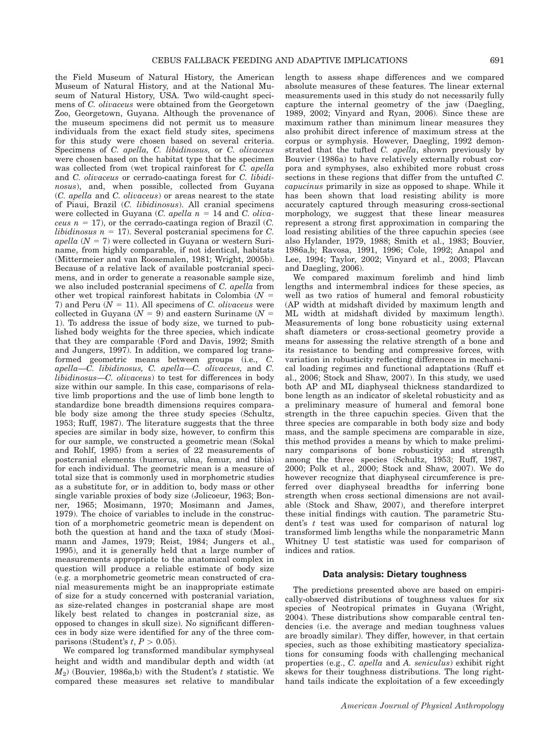the Field Museum of Natural History, the American Museum of Natural History, and at the National Museum of Natural History, USA. Two wild-caught specimens of C. olivaceus were obtained from the Georgetown Zoo, Georgetown, Guyana. Although the provenance of the museum specimens did not permit us to measure individuals from the exact field study sites, specimens for this study were chosen based on several criteria. Specimens of C. apella, C. libidinosus, or C. olivaceus were chosen based on the habitat type that the specimen was collected from (wet tropical rainforest for C. apella and C. olivaceus or cerrado-caatinga forest for C. libidinosus), and, when possible, collected from Guyana (C. apella and C. olivaceus) or areas nearest to the state of Piaui, Brazil (C. libidinosus). All cranial specimens were collected in Guyana (C. apella  $n = 14$  and C. olivaceus  $n = 17$ ), or the cerrado-caatinga region of Brazil (C. libidinosus  $n = 17$ ). Several postcranial specimens for C. apella ( $N = 7$ ) were collected in Guyana or western Suriname, from highly comparable, if not identical, habitats (Mittermeier and van Roosemalen, 1981; Wright, 2005b). Because of a relative lack of available postcranial specimens, and in order to generate a reasonable sample size, we also included postcranial specimens of C. apella from other wet tropical rainforest habitats in Colombia ( $N =$ 7) and Peru ( $N = 11$ ). All specimens of C. *olivaceus* were collected in Guyana ( $N = 9$ ) and eastern Suriname ( $N = 1$ ) 1). To address the issue of body size, we turned to published body weights for the three species, which indicate that they are comparable (Ford and Davis, 1992; Smith and Jungers, 1997). In addition, we compared log transformed geometric means between groups (i.e., C. apella—C. libidinosus, C. apella—C. olivaceus, and C. libidinosus—C. olivaceus) to test for differences in body size within our sample. In this case, comparisons of relative limb proportions and the use of limb bone length to standardize bone breadth dimensions requires comparable body size among the three study species (Schultz, 1953; Ruff, 1987). The literature suggests that the three species are similar in body size, however, to confirm this for our sample, we constructed a geometric mean (Sokal and Rohlf, 1995) from a series of 22 measurements of postcranial elements (humerus, ulna, femur, and tibia) for each individual. The geometric mean is a measure of total size that is commonly used in morphometric studies as a substitute for, or in addition to, body mass or other single variable proxies of body size (Jolicoeur, 1963; Bonner, 1965; Mosimann, 1970; Mosimann and James, 1979). The choice of variables to include in the construction of a morphometric geometric mean is dependent on both the question at hand and the taxa of study (Mosimann and James, 1979; Reist, 1984; Jungers et al., 1995), and it is generally held that a large number of measurements appropriate to the anatomical complex in question will produce a reliable estimate of body size (e.g. a morphometric geometric mean constructed of cranial measurements might be an inappropriate estimate of size for a study concerned with postcranial variation, as size-related changes in postcranial shape are most likely best related to changes in postcranial size, as opposed to changes in skull size). No significant differences in body size were identified for any of the three comparisons (Student's  $t, P > 0.05$ ).

We compared log transformed mandibular symphyseal height and width and mandibular depth and width (at  $M_2$ ) (Bouvier, 1986a,b) with the Student's t statistic. We compared these measures set relative to mandibular

length to assess shape differences and we compared absolute measures of these features. The linear external measurements used in this study do not necessarily fully capture the internal geometry of the jaw (Daegling, 1989, 2002; Vinyard and Ryan, 2006). Since these are maximum rather than minimum linear measures they also prohibit direct inference of maximum stress at the corpus or symphysis. However, Daegling, 1992 demonstrated that the tufted C. apella, shown previously by Bouvier (1986a) to have relatively externally robust corpora and symphyses, also exhibited more robust cross sections in these regions that differ from the untufted C. capucinus primarily in size as opposed to shape. While it has been shown that load resisting ability is more accurately captured through measuring cross-sectional morphology, we suggest that these linear measures represent a strong first approximation in comparing the load resisting abilities of the three capuchin species (see also Hylander, 1979, 1988; Smith et al., 1983; Bouvier, 1986a,b; Ravosa, 1991, 1996; Cole, 1992; Anapol and Lee, 1994; Taylor, 2002; Vinyard et al., 2003; Plavcan and Daegling, 2006).

We compared maximum forelimb and hind limb lengths and intermembral indices for these species, as well as two ratios of humeral and femoral robusticity (AP width at midshaft divided by maximum length and ML width at midshaft divided by maximum length). Measurements of long bone robusticity using external shaft diameters or cross-sectional geometry provide a means for assessing the relative strength of a bone and its resistance to bending and compressive forces, with variation in robusticity reflecting differences in mechanical loading regimes and functional adaptations (Ruff et al., 2006; Stock and Shaw, 2007). In this study, we used both AP and ML diaphyseal thickness standardized to bone length as an indicator of skeletal robusticity and as a preliminary measure of humeral and femoral bone strength in the three capuchin species. Given that the three species are comparable in both body size and body mass, and the sample specimens are comparable in size, this method provides a means by which to make preliminary comparisons of bone robusticity and strength among the three species (Schultz, 1953; Ruff, 1987, 2000; Polk et al., 2000; Stock and Shaw, 2007). We do however recognize that diaphyseal circumference is preferred over diaphyseal breadths for inferring bone strength when cross sectional dimensions are not available (Stock and Shaw, 2007), and therefore interpret these initial findings with caution. The parametric Student's  $t$  test was used for comparison of natural log transformed limb lengths while the nonparametric Mann Whitney U test statistic was used for comparison of indices and ratios.

#### Data analysis: Dietary toughness

The predictions presented above are based on empirically-observed distributions of toughness values for six species of Neotropical primates in Guyana (Wright, 2004). These distributions show comparable central tendencies (i.e. the average and median toughness values are broadly similar). They differ, however, in that certain species, such as those exhibiting masticatory specializations for consuming foods with challenging mechanical properties (e.g., C. apella and A. seniculus) exhibit right skews for their toughness distributions. The long righthand tails indicate the exploitation of a few exceedingly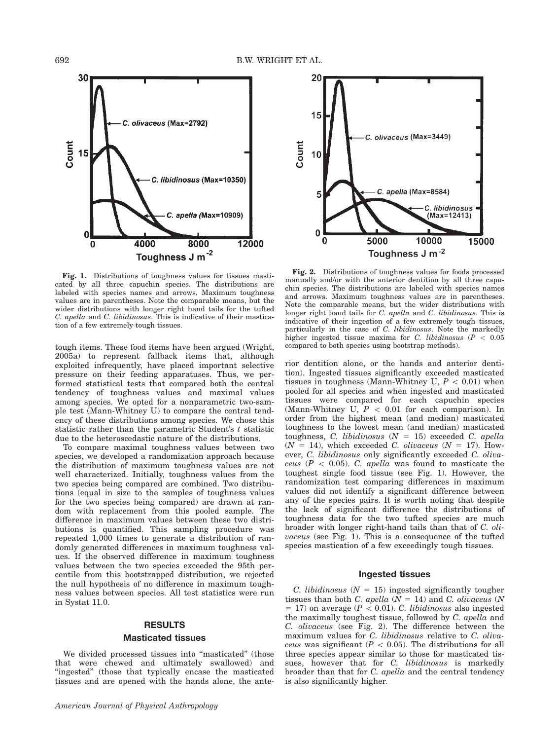

Fig. 1. Distributions of toughness values for tissues masticated by all three capuchin species. The distributions are labeled with species names and arrows. Maximum toughness values are in parentheses. Note the comparable means, but the wider distributions with longer right hand tails for the tufted C. apella and C. libidinosus. This is indicative of their mastication of a few extremely tough tissues.

tough items. These food items have been argued (Wright, 2005a) to represent fallback items that, although exploited infrequently, have placed important selective pressure on their feeding apparatuses. Thus, we performed statistical tests that compared both the central tendency of toughness values and maximal values among species. We opted for a nonparametric two-sample test (Mann-Whitney U) to compare the central tendency of these distributions among species. We chose this statistic rather than the parametric Student's  $t$  statistic due to the heteroscedastic nature of the distributions.

To compare maximal toughness values between two species, we developed a randomization approach because the distribution of maximum toughness values are not well characterized. Initially, toughness values from the two species being compared are combined. Two distributions (equal in size to the samples of toughness values for the two species being compared) are drawn at random with replacement from this pooled sample. The difference in maximum values between these two distributions is quantified. This sampling procedure was repeated 1,000 times to generate a distribution of randomly generated differences in maximum toughness values. If the observed difference in maximum toughness values between the two species exceeded the 95th percentile from this bootstrapped distribution, we rejected the null hypothesis of no difference in maximum toughness values between species. All test statistics were run in Systat 11.0.

# RESULTS

# Masticated tissues

We divided processed tissues into "masticated" (those that were chewed and ultimately swallowed) and "ingested" (those that typically encase the masticated tissues and are opened with the hands alone, the ante-



Fig. 2. Distributions of toughness values for foods processed manually and/or with the anterior dentition by all three capuchin species. The distributions are labeled with species names and arrows. Maximum toughness values are in parentheses. Note the comparable means, but the wider distributions with longer right hand tails for *C. apella* and *C. libidinosus*. This is indicative of their ingestion of a few extremely tough tissues, particularly in the case of C. libidinosus. Note the markedly higher ingested tissue maxima for C. libidinosus ( $P < 0.05$ ) compared to both species using bootstrap methods).

rior dentition alone, or the hands and anterior dentition). Ingested tissues significantly exceeded masticated tissues in toughness (Mann-Whitney U,  $P < 0.01$ ) when pooled for all species and when ingested and masticated tissues were compared for each capuchin species (Mann-Whitney U,  $P < 0.01$  for each comparison). In order from the highest mean (and median) masticated toughness to the lowest mean (and median) masticated toughness, C. libidinosus  $(N = 15)$  exceeded C. apella  $(N = 14)$ , which exceeded C. olivaceus  $(N = 17)$ . However, C. libidinosus only significantly exceeded C. olivaceus ( $P \, < \, 0.05$ ). C. apella was found to masticate the toughest single food tissue (see Fig. 1). However, the randomization test comparing differences in maximum values did not identify a significant difference between any of the species pairs. It is worth noting that despite the lack of significant difference the distributions of toughness data for the two tufted species are much broader with longer right-hand tails than that of C. olivaceus (see Fig. 1). This is a consequence of the tufted species mastication of a few exceedingly tough tissues.

### Ingested tissues

C. libidinosus ( $N = 15$ ) ingested significantly tougher tissues than both C. apella  $(N = 14)$  and C. olivaceus (N  $= 17$ ) on average ( $P < 0.01$ ). C. libidinosus also ingested the maximally toughest tissue, followed by  $C$ . apella and C. olivaceus (see Fig. 2). The difference between the maximum values for C. libidinosus relative to C. oliva*ceus* was significant  $(P < 0.05)$ . The distributions for all three species appear similar to those for masticated tissues, however that for C. *libidinosus* is markedly broader than that for C. apella and the central tendency is also significantly higher.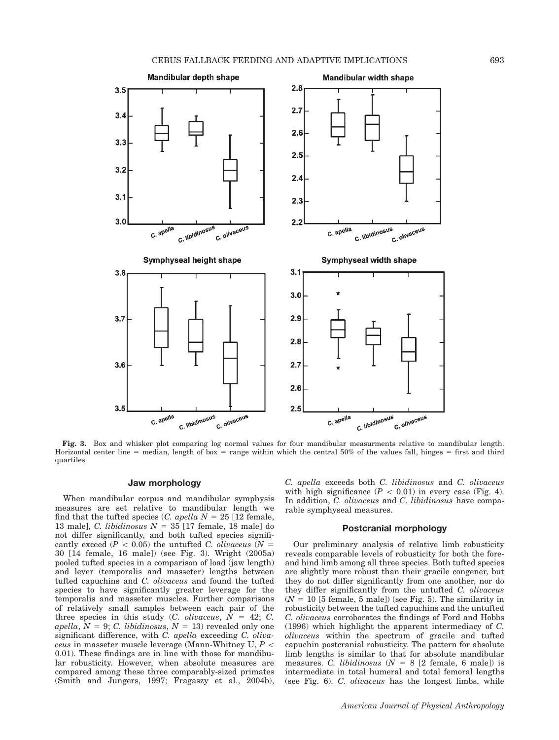

Fig. 3. Box and whisker plot comparing log normal values for four mandibular measurments relative to mandibular length. Horizontal center line = median, length of box = range within which the central 50% of the values fall, hinges = first and third quartiles.

#### Jaw morphology

When mandibular corpus and mandibular symphysis measures are set relative to mandibular length we find that the tufted species (C. apella  $N = 25$  [12 female, 13 male], C. libidinosus  $N = 35$  [17 female, 18 male] do not differ significantly, and both tufted species significantly exceed ( $P < 0.05$ ) the untufted C. olivaceus ( $N =$ 30 [14 female, 16 male]) (see Fig. 3). Wright (2005a) pooled tufted species in a comparison of load (jaw length) and lever (temporalis and masseter) lengths between tufted capuchins and C. olivaceus and found the tufted species to have significantly greater leverage for the temporalis and masseter muscles. Further comparisons of relatively small samples between each pair of the three species in this study  $(C. \space olivaceus, N = 42; C.$ apella,  $N = 9$ ; C. libidinosus,  $N = 13$ ) revealed only one significant difference, with C. apella exceeding C. olivaceus in masseter muscle leverage (Mann-Whitney U,  $P \lt \mathcal{E}$ 0.01). These findings are in line with those for mandibular robusticity. However, when absolute measures are compared among these three comparably-sized primates (Smith and Jungers, 1997; Fragaszy et al., 2004b), C. apella exceeds both C. libidinosus and C. olivaceus with high significance  $(P < 0.01)$  in every case (Fig. 4). In addition, C. olivaceus and C. libidinosus have comparable symphyseal measures.

# Postcranial morphology

Our preliminary analysis of relative limb robusticity reveals comparable levels of robusticity for both the foreand hind limb among all three species. Both tufted species are slightly more robust than their gracile congener, but they do not differ significantly from one another, nor do they differ significantly from the untufted C. olivaceus  $(N = 10$  [5 female, 5 male]) (see Fig. 5). The similarity in robusticity between the tufted capuchins and the untufted C. olivaceus corroborates the findings of Ford and Hobbs (1996) which highlight the apparent intermediacy of C. olivaceus within the spectrum of gracile and tufted capuchin postcranial robusticity. The pattern for absolute limb lengths is similar to that for absolute mandibular measures. C. libidinosus  $(N = 8 [2 \text{ female}, 6 \text{ male}])$  is intermediate in total humeral and total femoral lengths (see Fig. 6). C. olivaceus has the longest limbs, while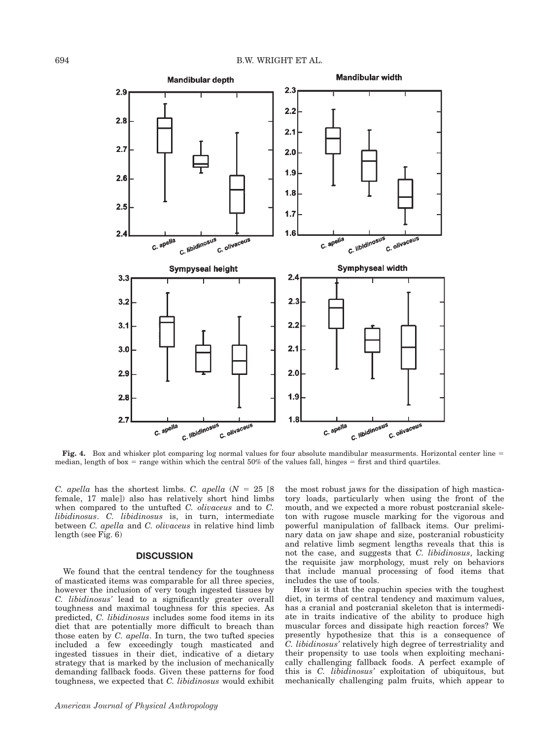

Fig. 4. Box and whisker plot comparing log normal values for four absolute mandibular measurments. Horizontal center line  $=$ median, length of box = range within which the central  $50\%$  of the values fall, hinges = first and third quartiles.

C. apella has the shortest limbs. C. apella  $(N = 25)$  [8] female, 17 male]) also has relatively short hind limbs when compared to the untufted C. olivaceus and to C. libidinosus. C. libidinosus is, in turn, intermediate between C. apella and C. olivaceus in relative hind limb length (see Fig. 6)

## **DISCUSSION**

We found that the central tendency for the toughness of masticated items was comparable for all three species, however the inclusion of very tough ingested tissues by C. libidinosus' lead to a significantly greater overall toughness and maximal toughness for this species. As predicted, C. libidinosus includes some food items in its diet that are potentially more difficult to breach than those eaten by C. apella. In turn, the two tufted species included a few exceedingly tough masticated and ingested tissues in their diet, indicative of a dietary strategy that is marked by the inclusion of mechanically demanding fallback foods. Given these patterns for food toughness, we expected that C. libidinosus would exhibit the most robust jaws for the dissipation of high masticatory loads, particularly when using the front of the mouth, and we expected a more robust postcranial skeleton with rugose muscle marking for the vigorous and powerful manipulation of fallback items. Our preliminary data on jaw shape and size, postcranial robusticity and relative limb segment lengths reveals that this is not the case, and suggests that C. libidinosus, lacking the requisite jaw morphology, must rely on behaviors that include manual processing of food items that includes the use of tools.

How is it that the capuchin species with the toughest diet, in terms of central tendency and maximum values, has a cranial and postcranial skeleton that is intermediate in traits indicative of the ability to produce high muscular forces and dissipate high reaction forces? We presently hypothesize that this is a consequence of C. libidinosus' relatively high degree of terrestriality and their propensity to use tools when exploiting mechanically challenging fallback foods. A perfect example of this is C. libidinosus' exploitation of ubiquitous, but mechanically challenging palm fruits, which appear to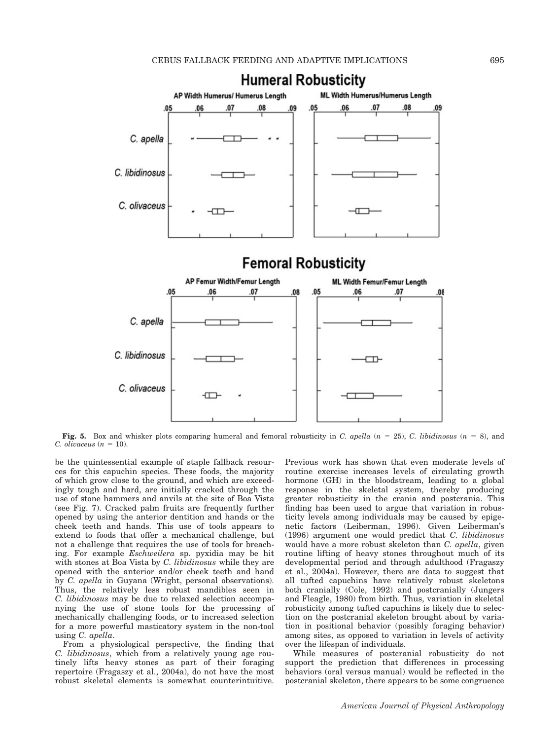

Fig. 5. Box and whisker plots comparing humeral and femoral robusticity in C. apella  $(n = 25)$ , C. libidinosus  $(n = 8)$ , and C. olivaceus ( $n = 10$ ).

be the quintessential example of staple fallback resources for this capuchin species. These foods, the majority of which grow close to the ground, and which are exceedingly tough and hard, are initially cracked through the use of stone hammers and anvils at the site of Boa Vista (see Fig. 7). Cracked palm fruits are frequently further opened by using the anterior dentition and hands or the cheek teeth and hands. This use of tools appears to extend to foods that offer a mechanical challenge, but not a challenge that requires the use of tools for breaching. For example Eschweilera sp. pyxidia may be hit with stones at Boa Vista by C. libidinosus while they are opened with the anterior and/or cheek teeth and hand by C. apella in Guyana (Wright, personal observations). Thus, the relatively less robust mandibles seen in C. libidinosus may be due to relaxed selection accompanying the use of stone tools for the processing of mechanically challenging foods, or to increased selection for a more powerful masticatory system in the non-tool using C. apella.

From a physiological perspective, the finding that C. libidinosus, which from a relatively young age routinely lifts heavy stones as part of their foraging repertoire (Fragaszy et al., 2004a), do not have the most robust skeletal elements is somewhat counterintuitive.

Previous work has shown that even moderate levels of routine exercise increases levels of circulating growth hormone (GH) in the bloodstream, leading to a global response in the skeletal system, thereby producing greater robusticity in the crania and postcrania. This finding has been used to argue that variation in robusticity levels among individuals may be caused by epigenetic factors (Leiberman, 1996). Given Leiberman's (1996) argument one would predict that C. libidinosus would have a more robust skeleton than C. apella, given routine lifting of heavy stones throughout much of its developmental period and through adulthood (Fragaszy et al., 2004a). However, there are data to suggest that all tufted capuchins have relatively robust skeletons both cranially (Cole, 1992) and postcranially (Jungers and Fleagle, 1980) from birth. Thus, variation in skeletal robusticity among tufted capuchins is likely due to selection on the postcranial skeleton brought about by variation in positional behavior (possibly foraging behavior) among sites, as opposed to variation in levels of activity over the lifespan of individuals.

While measures of postcranial robusticity do not support the prediction that differences in processing behaviors (oral versus manual) would be reflected in the postcranial skeleton, there appears to be some congruence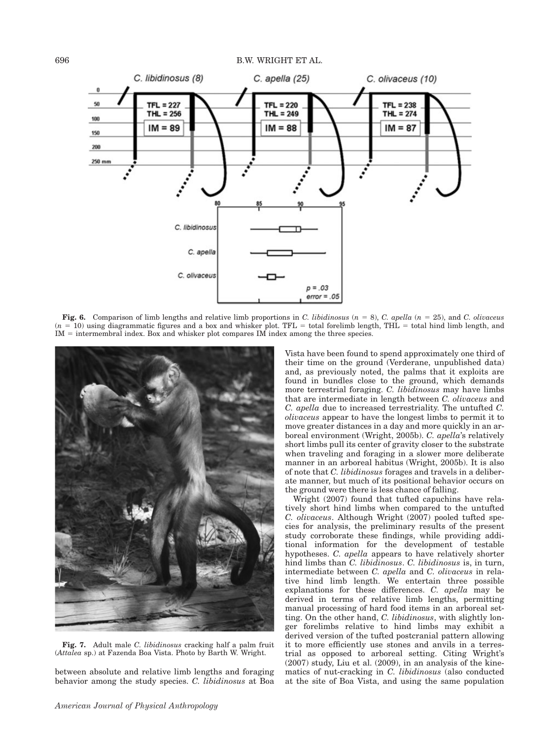

**Fig. 6.** Comparison of limb lengths and relative limb proportions in *C. libidinosus*  $(n = 8)$ , *C. apella*  $(n = 25)$ , and *C. olivaceus*  $(n = 10)$  using diagrammatic figures and a box and whisker plot. TFL = total forelimb  $IM =$  intermembral index. Box and whisker plot compares IM index among the three species.



Fig. 7. Adult male C. libidinosus cracking half a palm fruit (Attalea sp.) at Fazenda Boa Vista. Photo by Barth W. Wright.

between absolute and relative limb lengths and foraging behavior among the study species. C. libidinosus at Boa Vista have been found to spend approximately one third of their time on the ground (Verderane, unpublished data) and, as previously noted, the palms that it exploits are found in bundles close to the ground, which demands more terrestrial foraging. C. libidinosus may have limbs that are intermediate in length between C. olivaceus and C. apella due to increased terrestriality. The untufted C. olivaceus appear to have the longest limbs to permit it to move greater distances in a day and more quickly in an arboreal environment (Wright, 2005b). C. apella's relatively short limbs pull its center of gravity closer to the substrate when traveling and foraging in a slower more deliberate manner in an arboreal habitus (Wright, 2005b). It is also of note that C. libidinosus forages and travels in a deliberate manner, but much of its positional behavior occurs on the ground were there is less chance of falling.

Wright (2007) found that tufted capuchins have relatively short hind limbs when compared to the untufted C. olivaceus. Although Wright (2007) pooled tufted species for analysis, the preliminary results of the present study corroborate these findings, while providing additional information for the development of testable hypotheses. C. apella appears to have relatively shorter hind limbs than C. libidinosus. C. libidinosus is, in turn, intermediate between C. apella and C. olivaceus in relative hind limb length. We entertain three possible explanations for these differences. C. apella may be derived in terms of relative limb lengths, permitting manual processing of hard food items in an arboreal setting. On the other hand, C. libidinosus, with slightly longer forelimbs relative to hind limbs may exhibit a derived version of the tufted postcranial pattern allowing it to more efficiently use stones and anvils in a terrestrial as opposed to arboreal setting. Citing Wright's (2007) study, Liu et al. (2009), in an analysis of the kinematics of nut-cracking in C. libidinosus (also conducted at the site of Boa Vista, and using the same population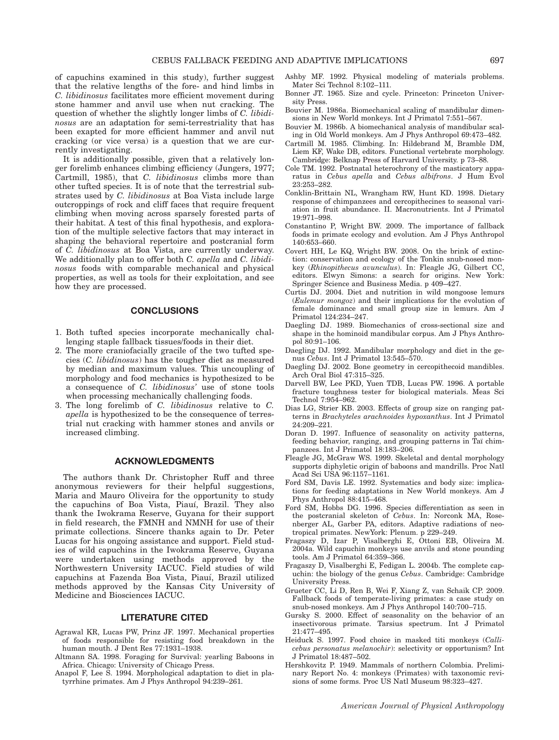of capuchins examined in this study), further suggest that the relative lengths of the fore- and hind limbs in C. libidinosus facilitates more efficient movement during stone hammer and anvil use when nut cracking. The question of whether the slightly longer limbs of C. libidinosus are an adaptation for semi-terrestriality that has been exapted for more efficient hammer and anvil nut cracking (or vice versa) is a question that we are currently investigating.

It is additionally possible, given that a relatively longer forelimb enhances climbing efficiency (Jungers, 1977; Cartmill, 1985), that C. libidinosus climbs more than other tufted species. It is of note that the terrestrial substrates used by C. libidinosus at Boa Vista include large outcroppings of rock and cliff faces that require frequent climbing when moving across sparsely forested parts of their habitat. A test of this final hypothesis, and exploration of the multiple selective factors that may interact in shaping the behavioral repertoire and postcranial form of C. libidinosus at Boa Vista, are currently underway. We additionally plan to offer both C. apella and C. libidinosus foods with comparable mechanical and physical properties, as well as tools for their exploitation, and see how they are processed.

# CONCLUSIONS

- 1. Both tufted species incorporate mechanically challenging staple fallback tissues/foods in their diet.
- 2. The more craniofacially gracile of the two tufted species (C. libidinosus) has the tougher diet as measured by median and maximum values. This uncoupling of morphology and food mechanics is hypothesized to be a consequence of C. libidinosus' use of stone tools when processing mechanically challenging foods.
- 3. The long forelimb of C. libidinosus relative to C. apella is hypothesized to be the consequence of terrestrial nut cracking with hammer stones and anvils or increased climbing.

### ACKNOWLEDGMENTS

The authors thank Dr. Christopher Ruff and three anonymous reviewers for their helpful suggestions, Maria and Mauro Oliveira for the opportunity to study the capuchins of Boa Vista, Piauı´, Brazil. They also thank the Iwokrama Reserve, Guyana for their support in field research, the FMNH and NMNH for use of their primate collections. Sincere thanks again to Dr. Peter Lucas for his ongoing assistance and support. Field studies of wild capuchins in the Iwokrama Reserve, Guyana were undertaken using methods approved by the Northwestern University IACUC. Field studies of wild capuchins at Fazenda Boa Vista, Piauı´, Brazil utilized methods approved by the Kansas City University of Medicine and Biosciences IACUC.

### LITERATURE CITED

- Agrawal KR, Lucas PW, Prinz JF. 1997. Mechanical properties of foods responsible for resisting food breakdown in the human mouth. J Dent Res 77:1931–1938.
- Altmann SA. 1998. Foraging for Survival: yearling Baboons in Africa. Chicago: University of Chicago Press.
- Anapol F, Lee S. 1994. Morphological adaptation to diet in platyrrhine primates. Am J Phys Anthropol 94:239–261.
- Ashby MF. 1992. Physical modeling of materials problems. Mater Sci Technol 8:102–111.
- Bonner JT. 1965. Size and cycle. Princeton: Princeton University Press.
- Bouvier M. 1986a. Biomechanical scaling of mandibular dimensions in New World monkeys. Int J Primatol 7:551–567.
- Bouvier M. 1986b. A biomechanical analysis of mandibular scaling in Old World monkeys. Am J Phys Anthropol 69:473–482.
- Cartmill M. 1985. Climbing. In: Hildebrand M, Bramble DM, Liem KF, Wake DB, editors. Functional vertebrate morphology. Cambridge: Belknap Press of Harvard University. p 73–88.
- Cole TM. 1992. Postnatal heterochrony of the masticatory apparatus in Cebus apella and Cebus albifrons. J Hum Evol 23:253–282.
- Conklin-Brittain NL, Wrangham RW, Hunt KD. 1998. Dietary response of chimpanzees and cercopithecines to seasonal variation in fruit abundance. II. Macronutrients. Int J Primatol 19:971–998.
- Constantino P, Wright BW. 2009. The importance of fallback foods in primate ecology and evolution. Am J Phys Anthropol 140:653–660.
- Covert HH, Le KQ, Wright BW. 2008. On the brink of extinction: conservation and ecology of the Tonkin snub-nosed monkey (Rhinopithecus avunculus). In: Fleagle JG, Gilbert CC, editors. Elwyn Simons: a search for origins. New York: Springer Science and Business Media. p 409–427.
- Curtis DJ. 2004. Diet and nutrition in wild mongoose lemurs (Eulemur mongoz) and their implications for the evolution of female dominance and small group size in lemurs. Am J Primatol 124:234–247.
- Daegling DJ. 1989. Biomechanics of cross-sectional size and shape in the hominoid mandibular corpus. Am J Phys Anthropol 80:91–106.
- Daegling DJ. 1992. Mandibular morphology and diet in the genus Cebus. Int J Primatol 13:545–570.
- Daegling DJ. 2002. Bone geometry in cercopithecoid mandibles. Arch Oral Biol 47:315–325.
- Darvell BW, Lee PKD, Yuen TDB, Lucas PW. 1996. A portable fracture toughness tester for biological materials. Meas Sci Technol 7:954–962.
- Dias LG, Strier KB. 2003. Effects of group size on ranging patterns in Brachyteles arachnoides hypoxanthus. Int J Primatol 24:209–221.
- Doran D. 1997. Influence of seasonality on activity patterns, feeding behavior, ranging, and grouping patterns in Taï chimpanzees. Int J Primatol 18:183–206.
- Fleagle JG, McGraw WS. 1999. Skeletal and dental morphology supports diphyletic origin of baboons and mandrills. Proc Natl Acad Sci USA 96:1157–1161.
- Ford SM, Davis LE. 1992. Systematics and body size: implications for feeding adaptations in New World monkeys. Am J Phys Anthropol 88:415–468.
- Ford SM, Hobbs DG. 1996. Species differentiation as seen in the postcranial skeleton of Cebus. In: Norconk MA, Rosenberger AL, Garber PA, editors. Adaptive radiations of neotropical primates. NewYork: Plenum. p 229–249.
- Fragaszy D, Izar P, Visalberghi E, Ottoni EB, Oliveira M. 2004a. Wild capuchin monkeys use anvils and stone pounding tools. Am J Primatol 64:359–366.
- Fragaszy D, Visalberghi E, Fedigan L. 2004b. The complete capuchin: the biology of the genus Cebus. Cambridge: Cambridge University Press.
- Grueter CC, Li D, Ren B, Wei F, Xiang Z, van Schaik CP. 2009. Fallback foods of temperate-living primates: a case study on snub-nosed monkeys. Am J Phys Anthropol 140:700–715.
- Gursky S. 2000. Effect of seasonality on the behavior of an insectivorous primate. Tarsius spectrum. Int J Primatol 21:477–495.
- Heiduck S. 1997. Food choice in masked titi monkeys (Callicebus personatus melanochir): selectivity or opportunism? Int J Primatol 18:487–502.
- Hershkovitz P. 1949. Mammals of northern Colombia. Preliminary Report No. 4: monkeys (Primates) with taxonomic revisions of some forms. Proc US Natl Museum 98:323–427.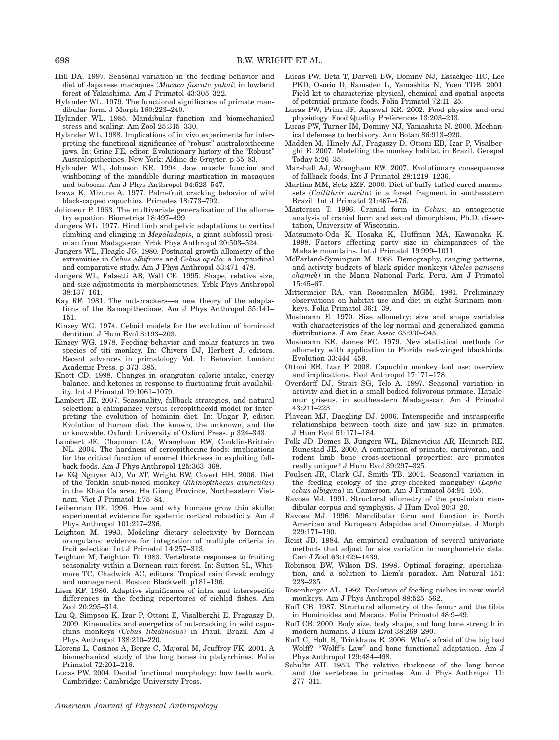- Hill DA. 1997. Seasonal variation in the feeding behavior and diet of Japanese macaques (Macaca fuscata yakui) in lowland forest of Yakushima. Am J Primatol 43:305–322.
- Hylander WL. 1979. The functional significance of primate mandibular form. J Morph 160:223–240.
- Hylander WL. 1985. Mandibular function and biomechanical stress and scaling. Am Zool 25:315–330.
- Hylander WL. 1988. Implications of in vivo experiments for interpreting the functional significance of ''robust'' australopithecine jaws. In: Grine FE, editor. Evolutionary history of the ''Robust'' Australopithecines. New York: Aldine de Gruyter. p 55–83.
- Hylander WL, Johnson KR. 1994. Jaw muscle function and wishboning of the mandible during mastication in macaques and baboons. Am J Phys Anthropol 94:523–547.
- Izawa K, Mizuno A. 1977. Palm-fruit cracking behavior of wild black-capped capuchins. Primates 18:773–792.
- Jolicoeur P. 1963. The multivariate generalization of the allometry equation. Biometrics 18:497–499.
- Jungers WL. 1977. Hind limb and pelvic adaptations to vertical climbing and clinging in Megaladapis, a giant subfossil prosimian from Madagascar. Yrbk Phys Anthropol 20:503–524.
- Jungers WL, Fleagle JG. 1980. Postnatal growth allometry of the extremities in Cebus albifrons and Cebus apella: a longitudinal and comparative study. Am J Phys Anthropol 53:471–478.
- Jungers WL, Falsetti AB, Wall CE. 1995. Shape, relative size, and size-adjustments in morphometrics. Yrbk Phys Anthropol 38:137–161.
- Kay RF. 1981. The nut-crackers—a new theory of the adaptations of the Ramapithecinae. Am J Phys Anthropol 55:141– 151.
- Kinzey WG. 1974. Ceboid models for the evolution of hominoid dentition. J Hum Evol 3:193–203.
- Kinzey WG. 1978. Feeding behavior and molar features in two species of titi monkey. In: Chivers DJ, Herbert J, editors. Recent advances in primatology Vol. 1: Behavior. London: Academic Press. p 373–385.
- Knott CD. 1998. Changes in orangutan caloric intake, energy balance, and ketones in response to fluctuating fruit availability. Int J Primatol 19:1061–1079.
- Lambert JE. 2007. Seasonality, fallback strategies, and natural selection: a chimpanzee versus cercopithecoid model for interpreting the evolution of hominin diet. In: Ungar P, editor. Evolution of human diet: the known, the unknown, and the unknowable. Oxford: University of Oxford Press. p 324–343.
- Lambert JE, Chapman CA, Wrangham RW, Conklin-Brittain NL. 2004. The hardness of cercopithecine foods: implications for the critical function of enamel thickness in exploiting fallback foods. Am J Phys Anthropol 125:363–368.
- Le KQ Nguyen AD, Vu AT, Wright BW, Covert HH. 2006. Diet of the Tonkin snub-nosed monkey (Rhinopithecus avunculus) in the Khau Ca area. Ha Giang Province, Northeastern Vietnam. Viet J Primatol 1:75–84.
- Leiberman DE. 1996. How and why humans grow thin skulls: experimental evidence for systemic cortical robusticity. Am J Phys Anthropol 101:217–236.
- Leighton M. 1993. Modeling dietary selectivity by Bornean orangutans: evidence for integration of multiple criteria in fruit selection. Int J Primatol 14:257–313.
- Leighton M, Leighton D. 1983. Vertebrate responses to fruiting seasonality within a Bornean rain forest. In: Sutton SL, Whitmore TC, Chadwick AC, editors. Tropical rain forest: ecology and management. Boston: Blackwell. p181–196.
- Liem KF. 1980. Adaptive significance of intra and interspecific differences in the feeding repertoires of cichlid fishes. Am Zool 20:295–314.
- Liu Q, Simpson K, Izar P, Ottoni E, Visalberghi E, Fragaszy D. 2009. Kinematics and energetics of nut-cracking in wild capuchins monkeys (Cebus libidinosus) in Piauí. Brazil. Am J Phys Anthropol 138:210–220.
- Llorens L, Casinos A, Berge C, Majoral M, Jouffroy FK. 2001. A biomechanical study of the long bones in platyrrhines. Folia Primatol 72:201–216.
- Lucas PW. 2004. Dental functional morphology: how teeth work. Cambridge: Cambridge University Press.
- Lucas PW, Beta T, Darvell BW, Dominy NJ, Essackjee HC, Lee PKD, Osorio D, Ramsden L, Yamashita N, Yuen TDB. 2001. Field kit to characterize physical, chemical and spatial aspects of potential primate foods. Folia Primatol 72:11–25.
- Lucas PW, Prinz JF, Agrawal KR. 2002. Food physics and oral physiology. Food Quality Preferences 13:203–213.
- Lucas PW, Turner IM, Dominy NJ, Yamashita N. 2000. Mechanical defenses to herbivory. Ann Botan 86:913–920.
- Madden M, Hinely AJ, Fragaszy D, Ottoni EB, Izar P, Visalberghi E. 2007. Modelling the monkey habitat in Brazil. Geospat Today 5:26–35.
- Marshall AJ, Wrangham RW. 2007. Evolutionary consequences of fallback foods. Int J Primatol 28:1219–1236.
- Martins MM, Setz EZF. 2000. Diet of buffy tufted-eared marmosets (Callithrix aurita) in a forest fragment in southeastern Brazil. Int J Primatol 21:467–476.
- Masterson T. 1996. Cranial form in Cebus: an ontogenetic analysis of cranial form and sexual dimorphism, Ph.D. dissertation, University of Wisconsin.
- Matsumoto-Oda K, Hosaka K, Huffman MA, Kawanaka K. 1998. Factors affecting party size in chimpanzees of the Mahale mountains. Int J Primatol 19:999–1011.
- McFarland-Symington M. 1988. Demography, ranging patterns, and activity budgets of black spider monkeys (Ateles paniscus chamek) in the Manu National Park. Peru. Am J Primatol 15:45–67.
- Mittermeier RA, van Roosemalen MGM. 1981. Preliminary observations on habitat use and diet in eight Surinam monkeys. Folia Primatol 36:1–39.
- Mosimann E. 1970. Size allometry: size and shape variables with characteristics of the log normal and generalized gamma distributions. J Am Stat Assoc 65:930–945.
- Mosimann KE, James FC. 1979. New statistical methods for allometry with application to Florida red-winged blackbirds. Evolution 33:444–459.
- Ottoni EB, Izar P. 2008. Capuchin monkey tool use: overview and implications. Evol Anthropol 17:171–178.
- Overdorff DJ, Strait SG, Telo A. 1997. Seasonal variation in activity and diet in a small bodied folivorous primate. Hapalemur griseus, in southeastern Madagascar. Am J Primatol 43:211–223.
- Plavcan MJ, Daegling DJ. 2006. Interspecific and intraspecific relationships between tooth size and jaw size in primates. J Hum Evol 51:171–184.
- Polk JD, Demes B, Jungers WL, Biknevicius AR, Heinrich RE, Runestad JE. 2000. A comparison of primate, carnivoran, and rodent limb bone cross-sectional properties: are primates really unique? J Hum Evol 39:297–325.
- Poulsen JR, Clark CJ, Smith TB. 2001. Seasonal variation in the feeding ecology of the grey-cheeked mangabey (Lophocebus albigena) in Cameroon. Am J Primatol 54:91–105.
- Ravosa MJ. 1991. Structural allometry of the prosimian mandibular corpus and symphysis. J Hum Evol 20:3–20.
- Ravosa MJ. 1996. Mandibular form and function in North American and European Adapidae and Omomyidae. J Morph 229:171–190.
- Reist JD. 1984. An empirical evaluation of several univariate methods that adjust for size variation in morphometric data. Can J Zool 63:1429–1439.
- Robinson BW, Wilson DS. 1998. Optimal foraging, specialization, and a solution to Liem's paradox. Am Natural 151: 223–235.
- Rosenberger AL. 1992. Evolution of feeding niches in new world monkeys. Am J Phys Anthropol 88:525–562.
- Ruff CB. 1987. Structural allometry of the femur and the tibia in Hominoidea and Macaca. Folia Primatol 48:9–49.
- Ruff CB. 2000. Body size, body shape, and long bone strength in modern humans. J Hum Evol 38:269–290.
- Ruff C, Holt B, Trinkhaus E. 2006. Who's afraid of the big bad Wolff?: ''Wolff's Law'' and bone functional adaptation. Am J Phys Anthropol 129:484–498.
- Schultz AH. 1953. The relative thickness of the long bones and the vertebrae in primates. Am J Phys Anthropol 11: 277–311.